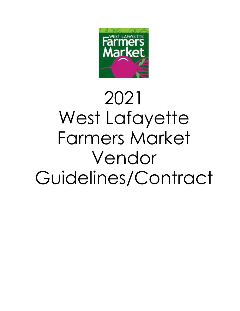

# 2021 West Lafayette Farmers Market Vendor Guidelines/Contract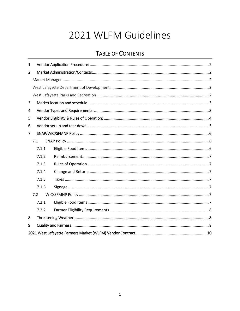# 2021 WLFM Guidelines

# **TABLE OF CONTENTS**

| $\mathbf{1}$   |       |  |  |  |  |  |  |
|----------------|-------|--|--|--|--|--|--|
| $\overline{2}$ |       |  |  |  |  |  |  |
|                |       |  |  |  |  |  |  |
|                |       |  |  |  |  |  |  |
|                |       |  |  |  |  |  |  |
| 3              |       |  |  |  |  |  |  |
| 4              |       |  |  |  |  |  |  |
| 5              |       |  |  |  |  |  |  |
| 6              |       |  |  |  |  |  |  |
| $\overline{7}$ |       |  |  |  |  |  |  |
|                | 7.1   |  |  |  |  |  |  |
|                | 7.1.1 |  |  |  |  |  |  |
|                | 7.1.2 |  |  |  |  |  |  |
|                | 7.1.3 |  |  |  |  |  |  |
|                | 7.1.4 |  |  |  |  |  |  |
|                | 7.1.5 |  |  |  |  |  |  |
|                | 7.1.6 |  |  |  |  |  |  |
|                | 7.2   |  |  |  |  |  |  |
|                | 7.2.1 |  |  |  |  |  |  |
|                | 7.2.2 |  |  |  |  |  |  |
| 8              |       |  |  |  |  |  |  |
| 9              |       |  |  |  |  |  |  |
|                |       |  |  |  |  |  |  |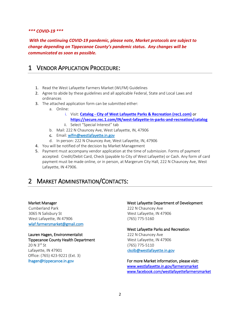## *\*\*\* COVID-19 \*\*\**

*With the continuing COVID-19 pandemic, please note, Market protocols are subject to change depending on Tippecanoe County's pandemic status. Any changes will be communicated as soon as possible.* 

# <span id="page-2-0"></span>1 VENDOR APPLICATION PROCEDURE:

- 1. Read the West Lafayette Farmers Market (WLFM) Guidelines
- 2. Agree to abide by these guidelines and all applicable Federal, State and Local Laws and ordinances
- 3. The attached application form can be submitted either:
	- a. Online:
		- i. Visit: **Catalog - [City of West Lafayette Parks & Recreation \(rec1.com\)](https://secure.rec1.com/IN/west-lafayette-in-parks-and-recreation/catalog)** or **<https://secure.rec.1.com/IN/west-lafayette-in-parks-and-recreation/catalog>**
		- ii. Select "Special Interest" tab
	- b. Mail: 222 N Chauncey Ave, West Lafayette, IN, 47906
	- c. Email[: wlfm@westlafayette.in.gov](mailto:wlfm@westlafayette.in.gov)
	- d. In person: 222 N Chauncey Ave, West Lafayette, IN, 47906
- 4. You will be notified of the decision by Market Management
- 5. Payment must accompany vendor application at the time of submission. Forms of payment accepted: Credit/Debit Card, Check (payable to City of West Lafayette) or Cash. Any form of card payment must be made online, or in person, at Margerum City Hall, 222 N Chauncey Ave, West Lafayette, IN 47906.

# <span id="page-2-1"></span>2 MARKET ADMINISTRATION/CONTACTS:

#### <span id="page-2-2"></span>Market Manager

Cumberland Park 3065 N Salisbury St West Lafayette, IN 47906 [wlaf.farmersmarket@gmail.com](mailto:wlaf.farmersmarket@gmail.com) 

Lauren Hagen, Environmentalist Tippecanoe County Health Department 20 N 3<sup>rd</sup> St Lafayette, IN 47901 Office: (765) 423-9221 (Ext. 3)

#### <span id="page-2-3"></span>West Lafayette Department of Development

222 N Chauncey Ave West Lafayette, IN 47906 (765) 775-5160

#### <span id="page-2-4"></span>West Lafayette Parks and Recreation

222 N Chauncey Ave West Lafayette, IN 47906 (765) 775-5110 [ckolb@westlafayette.in.gov](mailto:ckolb@westlafayette.in.gov) 

Ihagen@tippecanoe.in.gov **For more Market information, please visit:** [www.westlafayette.in.gov/farmersmarket](http://www.westlafayette.in.gov/farmersmarket)  [www.facebook.com/westlafayettefarmersmarket](http://www.facebook.com/westlafayettefarmersmarket)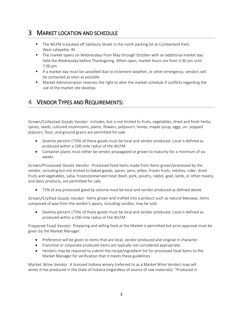# <span id="page-3-0"></span>3 MARKET LOCATION AND SCHEDULE

- The WLFM is located off Salisbury Street in the north parking lot at Cumberland Park, West Lafayette, IN.
- The market opens on Wednesdays from May through October with an additional market day held the Wednesday before Thanksgiving. When open, market hours are from 3:30 pm until 7:00 pm.
- **■** If a market day must be cancelled due to inclement weather, or other emergency, vendors will be contacted as soon as possible.
- Market Administration reserves the right to alter the market schedule if conflicts regarding the use of the market site develop.

# <span id="page-3-1"></span>4 VENDOR TYPES AND REQUIREMENTS:

Grown/Collected Goods Vendor: Includes, but is not limited to fruits, vegetables, dried and fresh herbs, spices, seeds, cultured mushrooms, plants, flowers, potpourri, honey, maple syrup, eggs, un- popped popcorn, flour, and ground grains are permitted for sale.

- Seventy percent (75%) of these goods must be local and vendor produced. Local is defined as produced within a 100-mile radius of the WLFM.
- Container plants must either be vendor propagated or grown to maturity for a minimum of six weeks.

Grown/Processed Goods Vendor: Processed food items made from items grown/processed by the vendor, including but not limited to baked goods, spices, jams, jellies, frozen fruits, relishes, cider, dried fruits and vegetables, salsa, frozen/preserved meat (beef, pork, poultry, rabbit, goat, lamb, or other meats), and dairy products, are permitted for sale.

• 75% of any processed good by volume must be local and vendor produced as defined above.

Grown/Crafted Goods Vendor: Items grown and crafted into a product such as natural beeswax, items composed of wax from the vendor's apiary, including candles, may be sold.

• Seventy percent (75%) of these goods must be local and vendor produced. Local is defined as produced within a 100-mile radius of the WLFM.

Prepared Food Vendor: Preparing and selling food at the Market is permitted but prior approval must be given by the Market Manager.

- Preference will be given to items that are local, vendor produced and original in character.
- Franchise or corporate produced items are typically not considered appropriate.
- Vendors may be required to submit the recipe/ingredient list for processed food items to the Market Manager for verification that it meets these guidelines.

Market Wine Vendor: A licensed Indiana winery (referred to as a Market Wine Vendor) may sell wines it has produced in the State of Indiana (regardless of source of raw materials). "Produced in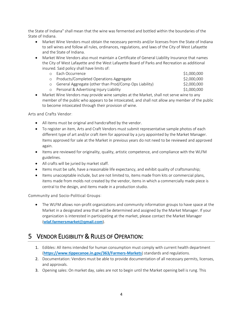the State of Indiana" shall mean that the wine was fermented and bottled within the boundaries of the State of Indiana.

- Market Wine Vendors must obtain the necessary permits and/or licenses from the State of Indiana to sell wines and follow all rules, ordinances, regulations, and laws of the City of West Lafayette and the State of Indiana.
- Market Wine Vendors also must maintain a Certificate of General Liability Insurance that names the City of West Lafayette and the West Lafayette Board of Parks and Recreation as additional insured. Said policy shall have limits of:

|         | <b>O</b> Each Occurrence                               | \$1,000,000 |
|---------|--------------------------------------------------------|-------------|
|         | Products/Completed Operations Aggregate                | \$2,000,000 |
| $\circ$ | General Aggregate (other than Prod/Comp Ops Liability) | \$2,000,000 |
|         | Personal & Advertising Injury Liability                | \$1,000,000 |

• Market Wine Vendors may provide wine samples at the Market, shall not serve wine to any member of the public who appears to be intoxicated, and shall not allow any member of the public to become intoxicated through their provision of wine.

# Arts and Crafts Vendor:

- All items must be original and handcrafted by the vendor.
- To register an item, Arts and Craft Vendors must submit representative sample photos of each different type of art and/or craft item for approval by a jury appointed by the Market Manager. Items approved for sale at the Market in previous years do not need to be reviewed and approved again.
- Items are reviewed for originality, quality, artistic competence, and compliance with the WLFM guidelines.
- All crafts will be juried by market staff.
- Items must be safe, have a reasonable life expectancy, and exhibit quality of craftsmanship;
- Items unacceptable include, but are not limited to, items made from kits or commercial plans, items made from molds not created by the vendor, items in which a commercially made piece is central to the design, and items made in a production studio.

Community and Socio-Political Groups:

• The WLFM allows non-profit organizations and community information groups to have space at the Market in a designated area that will be determined and assigned by the Market Manager. If your organization is interested in participating at the market, please contact the Market Manager (**[wlaf.farmersmarket@gmail.com](mailto:wlaf.farmersmarket@gmail.com)**).

# <span id="page-4-0"></span>5 VENDOR ELIGIBILITY & RULES OF OPERATION:

- 1. Edibles: All items intended for human consumption must comply with current health department (**<https://www.tippecanoe.in.gov/363/Farmers-Markets>**) standards and regulations.
- 2. Documentation: Vendors must be able to provide documentation of all necessary permits, licenses, and approvals.
- 3. Opening sales: On market day, sales are not to begin until the Market opening bell is rung. This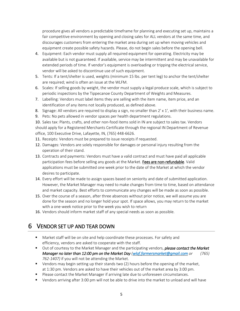procedure gives all vendors a predictable timeframe for planning and executing set up, maintains a fair competitive environment by opening and closing sales for ALL vendors at the same time, and discourages customers from entering the market area during set up when moving vehicles and equipment create possible safety hazards. Please, do not begin sales before the opening bell.

- 4. Equipment: Each vendor must supply all required equipment for operating. Electricity may be available but is not guaranteed. If available, service may be intermittent and may be unavailable for extended periods of time. If vendor's equipment is overloading or tripping the electrical service, vendor will be asked to discontinue use of such equipment.
- 5. Tents: If a tent/shelter is used, weights (minimum 15 lbs. per tent leg) to anchor the tent/shelter are required; wind is often an issue at the WLFM.
- 6. Scales: If selling goods by weight, the vendor must supply a legal produce scale, which is subject to periodic inspections by the Tippecanoe County Department of Weights and Measures.
- 7. Labelling: Vendors must label items they are selling with the item name, item price, and an identification of any items not locally produced, as defined above.
- 8. Signage: All vendors are required to display a sign, no smaller than 2' x 1', with their business name.
- 9. Pets: No pets allowed in vendor spaces per health department regulations.

10. Sales tax: Plants, crafts, and other non-food items sold in IN are subject to sales tax. Vendors should apply for a Registered Merchants Certificate through the regional IN Department of Revenue office, 100 Executive Drive, Lafayette, IN, (765) 448-6626.

- 11. Receipts: Vendors must be prepared to issue receipts if requested.
- 12. Damages: Vendors are solely responsible for damages or personal injury resulting from the operation of their stand.
- 13. Contracts and payments: Vendors must have a valid contract and must have paid all applicable participation fees before selling any goods at the Market. Fees are non-refundable. Valid applications must be submitted one week prior to the date of the Market at which the vendor desires to participate.
- 14. Every effort will be made to assign spaces based on seniority and date of submitted application. However, the Market Manager may need to make changes from time to time, based on attendance and market capacity. Best efforts to communicate any changes will be made as soon as possible.
- 15. Over the course of a season, after three absences without prior notice, we will assume you are done for the season and no longer hold your spot. If space allows, you may return to the market with a one-week notice prior to the week you wish to return
- 16. Vendors should inform market staff of any special needs as soon as possible.

# <span id="page-5-0"></span>6 VENDOR SET UP AND TEAR DOWN

- Market staff will be on site and help coordinate these processes. For safety and efficiency, vendors are asked to cooperate with the staff.
- Out of courtesy to the Market Manager and the participating vendors, *please contact the Market Manager no later than 12:00 pm on the Market Day [\(wlaf.farmersmarket@gmail.com](mailto:wlaf.farmersmarket@gmail.com) or (765) 762-1407)* if you will not be attending the Market.
- **•** Vendors may begin setting up their stands two (2) hours before the opening of the market, at 1:30 pm. Vendors are asked to have their vehicles out of the market area by 3:00 pm.
- Please contact the Market Manager if arriving late due to unforeseen circumstances.
- Vendors arriving after 3:00 pm will not be able to drive into the market to unload and will have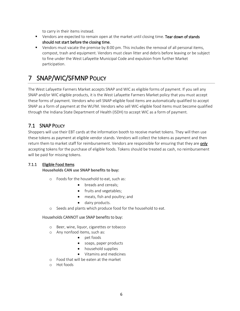to carry in their items instead.

- **•** Vendors are expected to remain open at the market until closing time. Tear down of stands should not start before the closing time.
- **•** Vendors must vacate the premise by 8:00 pm. This includes the removal of all personal items, compost, trash and equipment. Vendors must clean litter and debris before leaving or be subject to fine under the West Lafayette Municipal Code and expulsion from further Market participation.

# <span id="page-6-0"></span>7 SNAP/WIC/SFMNP POLICY

The West Lafayette Farmers Market accepts SNAP and WIC as eligible forms of payment. If you sell any SNAP and/or WIC eligible products, it is the West Lafayette Farmers Market policy that you must accept these forms of payment. Vendors who sell SNAP-eligible food items are automatically qualified to accept SNAP as a form of payment at the WLFM. Vendors who sell WIC-eligible food items must become qualified through the Indiana State Department of Health (ISDH) to accept WIC as a form of payment.

# <span id="page-6-1"></span>7.1 SNAP POLICY

Shoppers will use their EBT cards at the information booth to receive market tokens. They will then use these tokens as payment at eligible vendor stands. Vendors will collect the tokens as payment and then return them to market staff for reimbursement. Vendors are responsible for ensuring that they are only accepting tokens for the purchase of eligible foods. Tokens should be treated as cash, no reimbursement will be paid for missing tokens.

# <span id="page-6-2"></span>7.1.1 Eligible Food Items

## **Households CAN use SNAP benefits to buy:**

- o Foods for the household to eat, such as:
	- breads and cereals;
	- fruits and vegetables;
	- meats, fish and poultry; and
	- dairy products.
- o Seeds and plants which produce food for the household to eat.

## Households CANNOT use SNAP benefits to buy:

- o Beer, wine, liquor, cigarettes or tobacco
- o Any nonfood items, such as:
	- pet foods
	- soaps, paper products
	- household supplies
	- Vitamins and medicines
- o Food that will be eaten at the market
- o Hot foods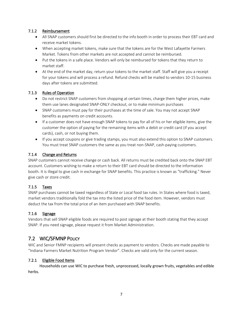# <span id="page-7-0"></span>7.1.2 Reimbursement

- All SNAP customers should first be directed to the info booth in order to process their EBT card and receive market tokens.
- When accepting market tokens, make sure that the tokens are for the West Lafayette Farmers Market. Tokens from other markets are not accepted and cannot be reimbursed.
- Put the tokens in a safe place. Vendors will only be reimbursed for tokens that they return to market staff.
- At the end of the market day, return your tokens to the market staff. Staff will give you a receipt for your tokens and will process a refund. Refund checks will be mailed to vendors 10-15 business days after tokens are submitted.

# <span id="page-7-1"></span>7.1.3 Rules of Operation

- Do not restrict SNAP customers from shopping at certain times, charge them higher prices, make them use lanes designated SNAP-ONLY checkout, or to make minimum purchases
- SNAP customers must pay for their purchases at the time of sale. You may not accept SNAP benefits as payments on credit accounts.
- If a customer does not have enough SNAP tokens to pay for all of his or her eligible items, give the customer the option of paying for the remaining items with a debit or credit card (if you accept cards), cash, or not buying them.
- If you accept coupons or give trading stamps, you must also extend this option to SNAP customers. You must treat SNAP customers the same as you treat non-SNAP, cash-paying customers.

# <span id="page-7-2"></span>7.1.4 Change and Returns

SNAP customers cannot receive change or cash back. All returns must be credited back onto the SNAP EBT account. Customers wishing to make a return to their EBT card should be directed to the information booth. It is illegal to give cash in exchange for SNAP benefits. This practice is known as "trafficking." Never give cash or store credit.

# <span id="page-7-3"></span>7.1.5 Taxes

SNAP purchases cannot be taxed regardless of State or Local food tax rules. In States where food is taxed, market vendors traditionally fold the tax into the listed price of the food item. However, vendors must deduct the tax from the total price of an item purchased with SNAP benefits.

## <span id="page-7-4"></span>7.1.6 Signage

Vendors that sell SNAP eligible foods are required to post signage at their booth stating that they accept SNAP. If you need signage, please request it from Market Administration.

# <span id="page-7-5"></span>7.2 WIC/SFMNP POLICY

WIC and Senior FMNP recipients will present checks as payment to vendors. Checks are made payable to "Indiana Farmers Market Nutrition Program Vendor". Checks are valid only for the current season.

## <span id="page-7-6"></span>7.2.1 Eligible Food Items

Households can use WIC to purchase fresh, unprocessed, locally grown fruits, vegetables and edible herbs.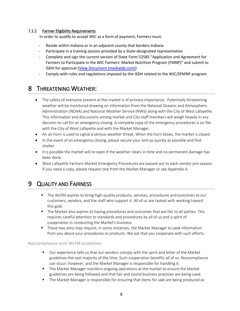# <span id="page-8-0"></span>7.2.2 Farmer Eligibility Requirements

In order to qualify to accept WIC as a form of payment, Farmers must:

- Reside within Indiana or in an adjacent county that borders Indiana
- Participate in a training session provided by a State-designated representative
- Complete and sign the current version of State Form 52585 "Application and Agreement for Farmers to Participate in the WIC Farmers' Market Nutrition Program (FMNP)" and submit to ISDH for approval [\(View Document \(medialab.com\)\)](https://www.medialab.com/dv/dl.aspx?d=1207912&dh=51d7c&u=95194&uh=670d6)
- Comply with rules and regulations imposed by the ISDH related to the WIC/SFMNP program

# <span id="page-8-1"></span>8 THREATENING WEATHER:

- The safety of everyone present at the market is of primary importance. Potentially threatening weather will be monitored drawing on information from the National Oceanic and Atmospheric Administration (NOAA) and National Weather Service (NWS) along with the City of West Lafayette. This information and discussions among market and City staff members will weigh heavily in any decision to call for an emergency closing. A complete copy of the emergency procedures is on file with the City of West Lafayette and with the Market Manager.
- An air horn is used to signal a serious weather threat. When the horn blows, the market is closed.
- In the event of an emergency closing, please secure your tent as quickly as possible and find shelter.
- It is possible the market will re-open if the weather clears in time and no permanent damage has been done.
- West Lafayette Farmers Market Emergency Procedures are passed out to each vendor pre-season. If you need a copy, please request one from the Market Manager or see Appendix A.

# <span id="page-8-2"></span>9 QUALITY AND FAIRNESS

- The WLFM aspires to bring high-quality products, services, procedures and outcomes to our customers, vendors, and the staff who support it. All of us are tasked with working toward this goal.
- The Market also aspires to having procedures and outcomes that are fair to all parties. This requires careful attention to standards and procedures by all of us and a spirit of cooperation in conducting the Market's business.
- These two aims may require, in some instances, the Market Manager to seek information from you about your procedures or products. We ask that you cooperate with such efforts.

## Noncompliance with WLFM Guidelines

- Our experience tells us that our vendors comply with the spirit and letter of the Market guidelines the vast majority of the time. Such cooperation benefits all of us. Noncompliance can occur; however, and the Market Manager is responsible for handling it.
- The Market Manager monitors ongoing operations at the market to ensure the Market guidelines are being followed and that fair and sound business practices are being used.
- The Market Manager is responsible for ensuring that items for sale are being produced as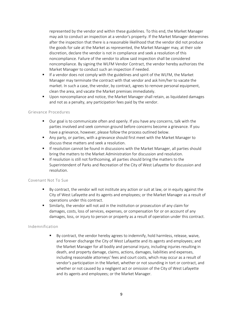represented by the vendor and within these guidelines. To this end, the Market Manager may ask to conduct an inspection at a vendor's property. If the Market Manager determines after the inspection that there is a reasonable likelihood that the vendor did not produce the goods for sale at the Market as represented, the Market Manager may, at their sole discretion, declare the vendor is not in compliance and seek a resolution of this noncompliance. Failure of the vendor to allow said inspection shall be considered noncompliance. By signing the WLFM Vendor Contract, the vendor hereby authorizes the Market Manager to conduct such an inspection if needed.

- **■** If a vendor does not comply with the guidelines and spirit of the WLFM, the Market Manager may terminate the contract with that vendor and ask him/her to vacate the market. In such a case, the vendor, by contract, agrees to remove personal equipment, clean the area, and vacate the Market premises immediately.
- Upon noncompliance and notice, the Market Manager shall retain, as liquidated damages and not as a penalty, any participation fees paid by the vendor.

## Grievance Procedures

- Our goal is to communicate often and openly. If you have any concerns, talk with the parties involved and seek common ground before concerns become a grievance. If you have a grievance, however, please follow the process outlined below.
- Any party, or parties, with a grievance should first meet with the Market Manager to discuss these matters and seek a resolution.
- **■** If resolution cannot be found in discussions with the Market Manager, all parties should bring the matters to the Market Administration for discussion and resolution.
- **EXT** If resolution is still not forthcoming, all parties should bring the matters to the Superintendent of Parks and Recreation of the City of West Lafayette for discussion and resolution.

## Covenant Not To Sue

- By contract, the vendor will not institute any action or suit at law, or in equity against the City of West Lafayette and its agents and employees; or the Market Manager as a result of operations under this contract.
- **E** Similarly, the vendor will not aid in the institution or prosecution of any claim for damages, costs, loss of services, expenses, or compensation for or on account of any damages, loss, or injury to person or property as a result of operation under this contract.

## Indemnification

▪ By contract, the vendor hereby agrees to indemnify, hold harmless, release, waive, and forever discharge the City of West Lafayette and its agents and employees; and the Market Manager for all bodily and personal injury, including injuries resulting in death, and property damage, claims, actions, damages, liabilities and expenses, including reasonable attorneys' fees and court costs, which may occur as a result of vendor's participation in the Market, whether or not sounding in tort or contract, and whether or not caused by a negligent act or omission of the City of West Lafayette and its agents and employees; or the Market Manager.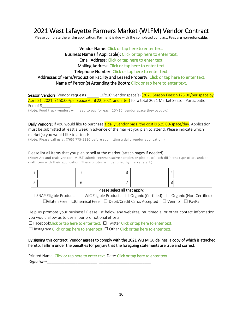# <span id="page-10-0"></span>2021 West Lafayette Farmers Market (WLFM) Vendor Contract

Please complete the entire application. Payment is due with the completed contract. Fees are non-refundable.

# Vendor Name: Click or tap here to enter text. Business Name (If Applicable): Click or tap here to enter text. Email Address: Click or tap here to enter text. Mailing Address: Click or tap here to enter text. Telephone Number: Click or tap here to enter text. Addresses of Farm/Production Facility and Leased Property: Click or tap here to enter text. Name of Person(s) Attending the Booth: Click or tap here to enter text.

Season Vendors: Vendor requests \_\_\_\_\_\_ 10'x10' vendor space(s) (2021 Season Fees: \$125.00/per space by April 21, 2021, \$150.00/per space April 22, 2021 and after) for a total 2021 Market Season Participation Fee of \$\_\_\_\_\_\_\_\_\_\_\_\_\_.

(Note: Food truck vendors will need to pay for each 10'x10' vendor space they occupy.)

Daily Vendors: If you would like to purchase a daily vendor pass, the cost is \$25.00/space/day. Application must be submitted at least a week in advance of the market you plan to attend. Please indicate which market(s) you would like to attend: .

(Note: Please call us at (765) 775-5110 before submitting a daily vendor application.)

#### Please list all items that you plan to sell at the market (attach pages if needed)

(Note: Art and craft vendors MUST submit representative samples or photos of each different type of art and/or craft item with their application. These photos will be juried by market staff.)

|  |  | - |  |  |
|--|--|---|--|--|
|  |  | - |  |  |

#### Please select all that apply:

☐ SNAP Eligible Products ☐ WIC Eligible Products ☐ Organic (Certified) ☐ Organic (Non-Certified) ☐Gluten Free ☐Chemical Free ☐ Debit/Credit Cards Accepted ☐ Venmo ☐ PayPal

Help us promote your business! Please list below any websites, multimedia, or other contact information you would allow us to use in our promotional efforts.

☐ FacebookClick or tap here to enter text. ☐ Twitter Click or tap here to enter text.

 $\Box$  Instagram Click or tap here to enter text.  $\Box$  Other Click or tap here to enter text.

By signing this contract, Vendor agrees to comply with the 2021 WLFM Guidelines, a copy of which is attached hereto. I affirm under the penalties for perjury that the foregoing statements are true and correct.

Printed Name: Click or tap here to enter text. Date: Click or tap here to enter text. *Signature: \_\_\_\_\_\_\_\_\_\_\_\_\_\_\_\_\_\_\_\_\_\_\_ \_\_\_\_\_\_\_\_\_\_\_\_\_\_\_\_\_\_\_\_\_\_\_\_*